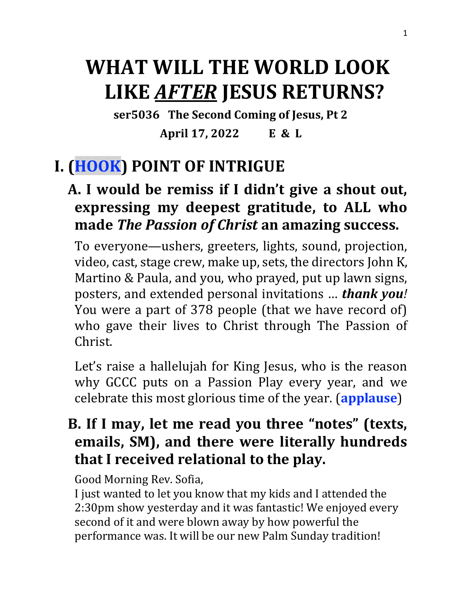# **WHAT WILL THE WORLD LOOK LIKE** *AFTER* **JESUS RETURNS?**

**ser5036 The Second Coming of Jesus, Pt 2 April 17, 2022 E & L**

## **I. (HOOK) POINT OF INTRIGUE**

### **A. I would be remiss if I didn't give a shout out, expressing my deepest gratitude, to ALL who made** *The Passion of Christ* **an amazing success.**

To everyone—ushers, greeters, lights, sound, projection, video, cast, stage crew, make up, sets, the directors John K, Martino & Paula, and you, who prayed, put up lawn signs, posters, and extended personal invitations … *thank you!* You were a part of 378 people (that we have record of) who gave their lives to Christ through The Passion of Christ.

Let's raise a hallelujah for King Jesus, who is the reason why GCCC puts on a Passion Play every year, and we celebrate this most glorious time of the year. (**applause**)

### **B. If I may, let me read you three "notes" (texts, emails, SM), and there were literally hundreds that I received relational to the play.**

Good Morning Rev. Sofia,

I just wanted to let you know that my kids and I attended the 2:30pm show yesterday and it was fantastic! We enjoyed every second of it and were blown away by how powerful the performance was. It will be our new Palm Sunday tradition!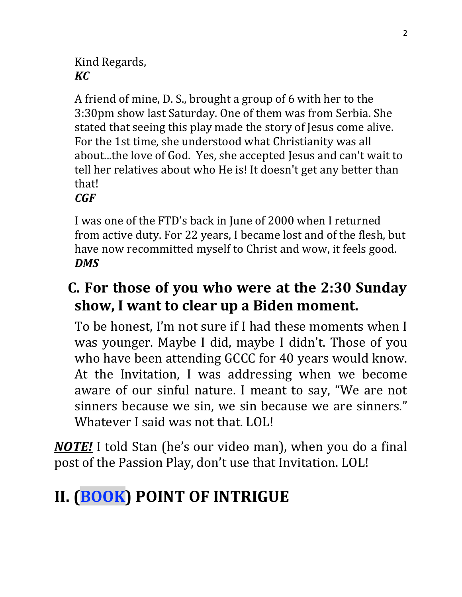#### Kind Regards, *KC*

A friend of mine, D. S., brought a group of 6 with her to the 3:30pm show last Saturday. One of them was from Serbia. She stated that seeing this play made the story of Jesus come alive. For the 1st time, she understood what Christianity was all about...the love of God. Yes, she accepted Jesus and can't wait to tell her relatives about who He is! It doesn't get any better than that!

*CGF*

I was one of the FTD's back in June of 2000 when I returned from active duty. For 22 years, I became lost and of the flesh, but have now recommitted myself to Christ and wow, it feels good. *DMS*

### **C. For those of you who were at the 2:30 Sunday show, I want to clear up a Biden moment.**

To be honest, I'm not sure if I had these moments when I was younger. Maybe I did, maybe I didn't. Those of you who have been attending GCCC for 40 years would know. At the Invitation, I was addressing when we become aware of our sinful nature. I meant to say, "We are not sinners because we sin, we sin because we are sinners." Whatever I said was not that. LOL!

*NOTE!* I told Stan (he's our video man), when you do a final post of the Passion Play, don't use that Invitation. LOL!

# **II. (BOOK) POINT OF INTRIGUE**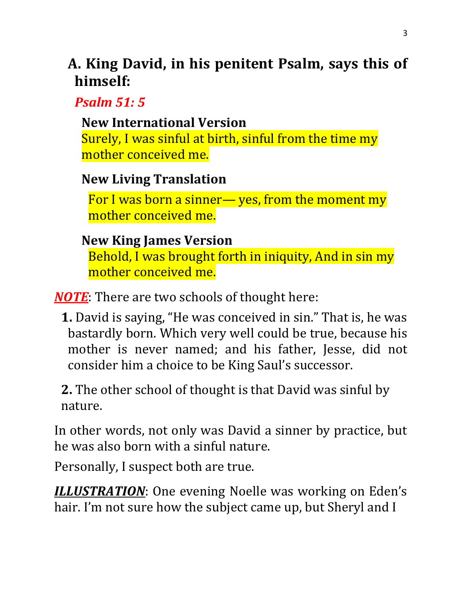### **A. King David, in his penitent Psalm, says this of himself:**

*Psalm 51: 5*

#### **[New International Version](https://biblehub.com/niv/psalms/51.htm)**

Surely, I was sinful at birth, sinful from the time my mother conceived me.

#### **[New Living Translation](https://biblehub.com/nlt/psalms/51.htm)**

For I was born a sinner— yes, from the moment my mother conceived me.

#### **[New King James Version](https://biblehub.com/nkjv/psalms/51.htm)**

Behold, I was brought forth in iniquity, And in sin my mother conceived me.

*NOTE*: There are two schools of thought here:

**1.** David is saying, "He was conceived in sin." That is, he was bastardly born. Which very well could be true, because his mother is never named; and his father, Jesse, did not consider him a choice to be King Saul's successor.

**2.** The other school of thought is that David was sinful by nature.

In other words, not only was David a sinner by practice, but he was also born with a sinful nature.

Personally, I suspect both are true.

*ILLUSTRATION*: One evening Noelle was working on Eden's hair. I'm not sure how the subject came up, but Sheryl and I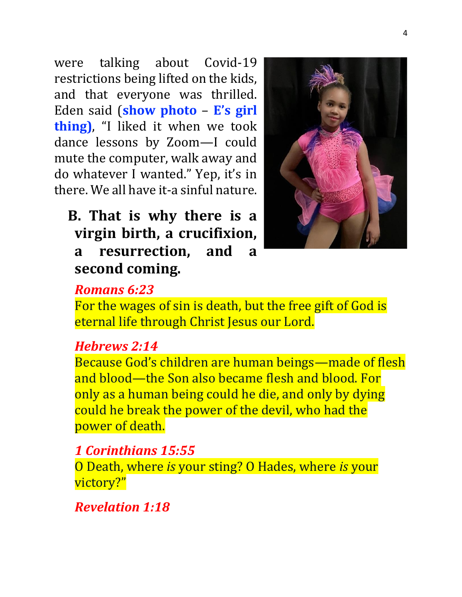were talking about Covid-19 restrictions being lifted on the kids, and that everyone was thrilled. Eden said (**show photo** – **E's girl thing)**, "I liked it when we took dance lessons by Zoom—I could mute the computer, walk away and do whatever I wanted." Yep, it's in there. We all have it-a sinful nature.

### **B. That is why there is a virgin birth, a crucifixion, a resurrection, and a second coming.**



#### *Romans 6:23*

For the wages of sin is death, but the free gift of God is eternal life through Christ Jesus our Lord.

#### *Hebrews 2:14*

Because God's children are human beings—made of flesh and blood—the Son also became flesh and blood. For only as a human being could he die, and only by dying could he break the power of the devil, who had the power of death.

#### *1 Corinthians 15:55*

O Death, where *is* your sting? O Hades, where *is* your victory?"

#### *Revelation 1:18*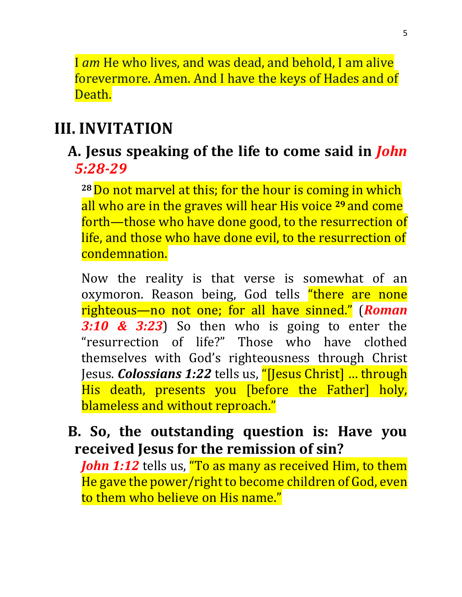I *am* He who lives, and was dead, and behold, I am alive forevermore. Amen. And I have the keys of Hades and of Death.

#### **III. INVITATION**

#### **A. Jesus speaking of the life to come said in** *John 5:28-29*

**<sup>28</sup>**Do not marvel at this; for the hour is coming in which all who are in the graves will hear His voice **<sup>29</sup>** and come forth—those who have done good, to the resurrection of life, and those who have done evil, to the resurrection of condemnation.

Now the reality is that verse is somewhat of an oxymoron. Reason being, God tells "there are none righteous—no not one; for all have sinned." (*Roman 3:10 & 3:23*) So then who is going to enter the "resurrection of life?" Those who have clothed themselves with God's righteousness through Christ Jesus. *Colossians 1:22* tells us, "*[Jesus Christ]* ... through His death, presents you [before the Father] holy, blameless and without reproach."

#### **B. So, the outstanding question is: Have you received Jesus for the remission of sin?**

*John 1:12* tells us, "To as many as received Him, to them He gave the power/right to become children of God, even to them who believe on His name."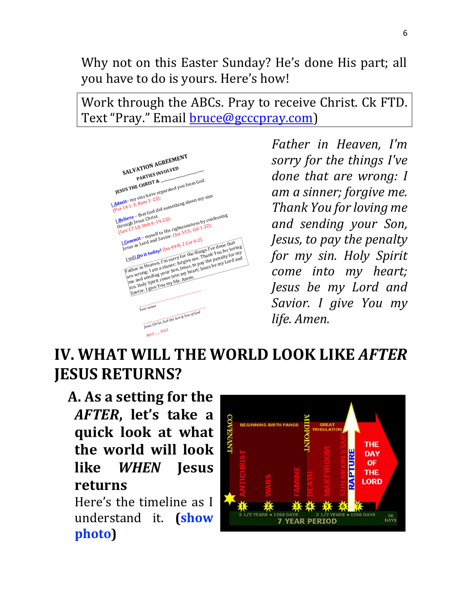Why not on this Easter Sunday? He's done His part; all you have to do is yours. Here's how!

Work through the ABCs. Pray to receive Christ. Ck FTD. Text "Pray." Email **bruce@gcccpray.com**)



*Father in Heaven, I'm sorry for the things I've done that are wrong: I am a sinner; forgive me. Thank You for loving me and sending your Son, Jesus, to pay the penalty for my sin. Holy Spirit come into my heart; Jesus be my Lord and Savior. I give You my life. Amen.*

## **IV. WHAT WILL THE WORLD LOOK LIKE** *AFTER* **JESUS RETURNS?**

### **A. As a setting for the**  *AFTER***, let's take a quick look at what the world will look like** *WHEN* **Jesus returns**

Here's the timeline as I understand it. **(show photo)**

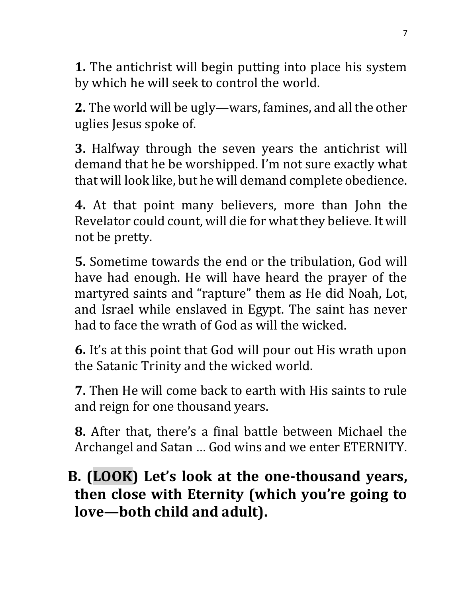**1.** The antichrist will begin putting into place his system by which he will seek to control the world.

**2.** The world will be ugly—wars, famines, and all the other uglies Jesus spoke of.

**3.** Halfway through the seven years the antichrist will demand that he be worshipped. I'm not sure exactly what that will look like, but he will demand complete obedience.

**4.** At that point many believers, more than John the Revelator could count, will die for what they believe. It will not be pretty.

**5.** Sometime towards the end or the tribulation, God will have had enough. He will have heard the prayer of the martyred saints and "rapture" them as He did Noah, Lot, and Israel while enslaved in Egypt. The saint has never had to face the wrath of God as will the wicked.

**6.** It's at this point that God will pour out His wrath upon the Satanic Trinity and the wicked world.

**7.** Then He will come back to earth with His saints to rule and reign for one thousand years.

**8.** After that, there's a final battle between Michael the Archangel and Satan … God wins and we enter ETERNITY.

### **B. (LOOK) Let's look at the one-thousand years, then close with Eternity (which you're going to love—both child and adult).**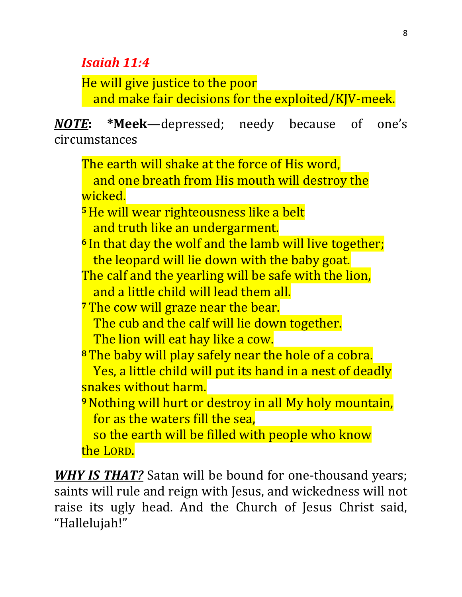#### *Isaiah 11:4*

He will give justice to the poor and make fair decisions for the exploited/KJV-meek.

*NOTE***: \*Meek**—depressed; needy because of one's circumstances

The earth will shake at the force of His word, and one breath from His mouth will destroy the wicked. **<sup>5</sup>**He will wear righteousness like a belt and truth like an undergarment. **<sup>6</sup>** In that day the wolf and the lamb will live together; the leopard will lie down with the baby goat. The calf and the yearling will be safe with the lion, and a little child will lead them all. **<sup>7</sup>**The cow will graze near the bear. The cub and the calf will lie down together. The lion will eat hay like a cow. **<sup>8</sup>**The baby will play safely near the hole of a cobra. Yes, a little child will put its hand in a nest of deadly snakes without harm. **<sup>9</sup>**Nothing will hurt or destroy in all My holy mountain, for as the waters fill the sea, so the earth will be filled with people who know the LORD.

*WHY IS THAT?* Satan will be bound for one-thousand years; saints will rule and reign with Jesus, and wickedness will not raise its ugly head. And the Church of Jesus Christ said, "Hallelujah!"